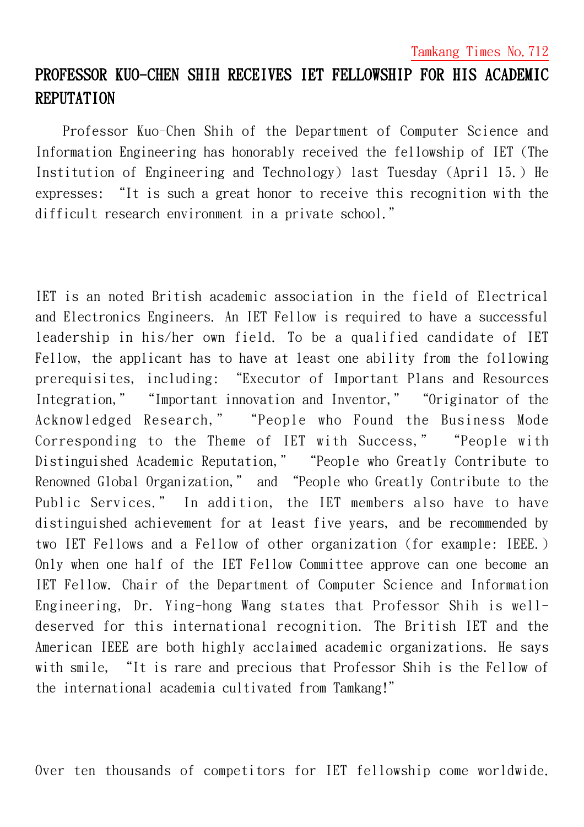## PROFESSOR KUO-CHEN SHIH RECEIVES IET FELLOWSHIP FOR HIS ACADEMIC **REPUTATION**

Professor Kuo-Chen Shih of the Department of Computer Science and Information Engineering has honorably received the fellowship of IET (The Institution of Engineering and Technology) last Tuesday (April 15.) He expresses: "It is such a great honor to receive this recognition with the difficult research environment in a private school."

IET is an noted British academic association in the field of Electrical and Electronics Engineers. An IET Fellow is required to have a successful leadership in his/her own field. To be a qualified candidate of IET Fellow, the applicant has to have at least one ability from the following prerequisites, including: "Executor of Important Plans and Resources Integration," "Important innovation and Inventor," "Originator of the Acknowledged Research," "People who Found the Business Mode Corresponding to the Theme of IET with Success," "People with Distinguished Academic Reputation," "People who Greatly Contribute to Renowned Global Organization," and "People who Greatly Contribute to the Public Services." In addition, the IET members also have to have distinguished achievement for at least five years, and be recommended by two IET Fellows and a Fellow of other organization (for example: IEEE.) Only when one half of the IET Fellow Committee approve can one become an IET Fellow. Chair of the Department of Computer Science and Information Engineering, Dr. Ying-hong Wang states that Professor Shih is welldeserved for this international recognition. The British IET and the American IEEE are both highly acclaimed academic organizations. He says with smile, "It is rare and precious that Professor Shih is the Fellow of the international academia cultivated from Tamkang!"

Over ten thousands of competitors for IET fellowship come worldwide.